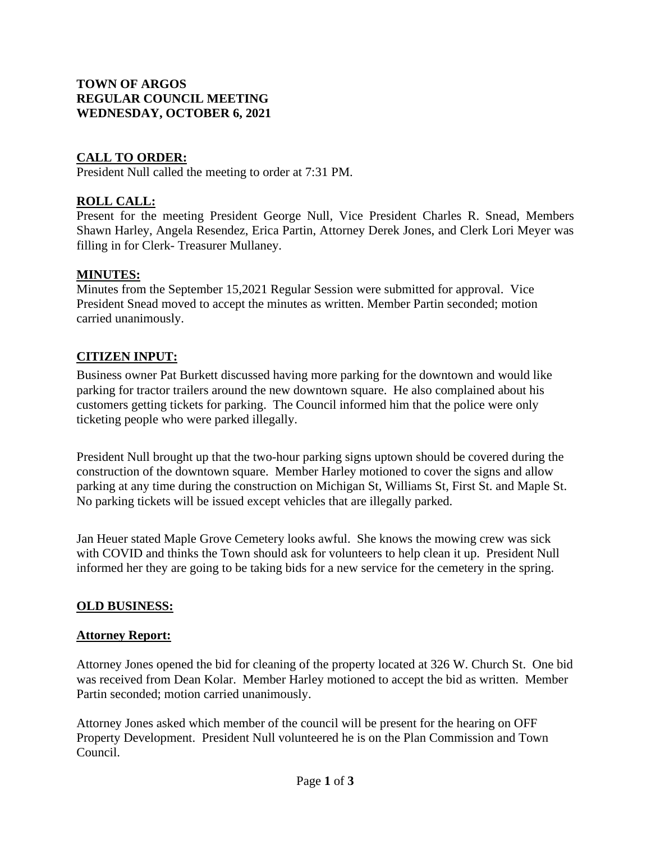### **TOWN OF ARGOS REGULAR COUNCIL MEETING WEDNESDAY, OCTOBER 6, 2021**

## **CALL TO ORDER:**

President Null called the meeting to order at 7:31 PM.

## **ROLL CALL:**

Present for the meeting President George Null, Vice President Charles R. Snead, Members Shawn Harley, Angela Resendez, Erica Partin, Attorney Derek Jones, and Clerk Lori Meyer was filling in for Clerk- Treasurer Mullaney.

### **MINUTES:**

Minutes from the September 15,2021 Regular Session were submitted for approval. Vice President Snead moved to accept the minutes as written. Member Partin seconded; motion carried unanimously.

### **CITIZEN INPUT:**

Business owner Pat Burkett discussed having more parking for the downtown and would like parking for tractor trailers around the new downtown square. He also complained about his customers getting tickets for parking. The Council informed him that the police were only ticketing people who were parked illegally.

President Null brought up that the two-hour parking signs uptown should be covered during the construction of the downtown square. Member Harley motioned to cover the signs and allow parking at any time during the construction on Michigan St, Williams St, First St. and Maple St. No parking tickets will be issued except vehicles that are illegally parked.

Jan Heuer stated Maple Grove Cemetery looks awful. She knows the mowing crew was sick with COVID and thinks the Town should ask for volunteers to help clean it up. President Null informed her they are going to be taking bids for a new service for the cemetery in the spring.

### **OLD BUSINESS:**

#### **Attorney Report:**

Attorney Jones opened the bid for cleaning of the property located at 326 W. Church St. One bid was received from Dean Kolar. Member Harley motioned to accept the bid as written. Member Partin seconded; motion carried unanimously.

Attorney Jones asked which member of the council will be present for the hearing on OFF Property Development. President Null volunteered he is on the Plan Commission and Town Council.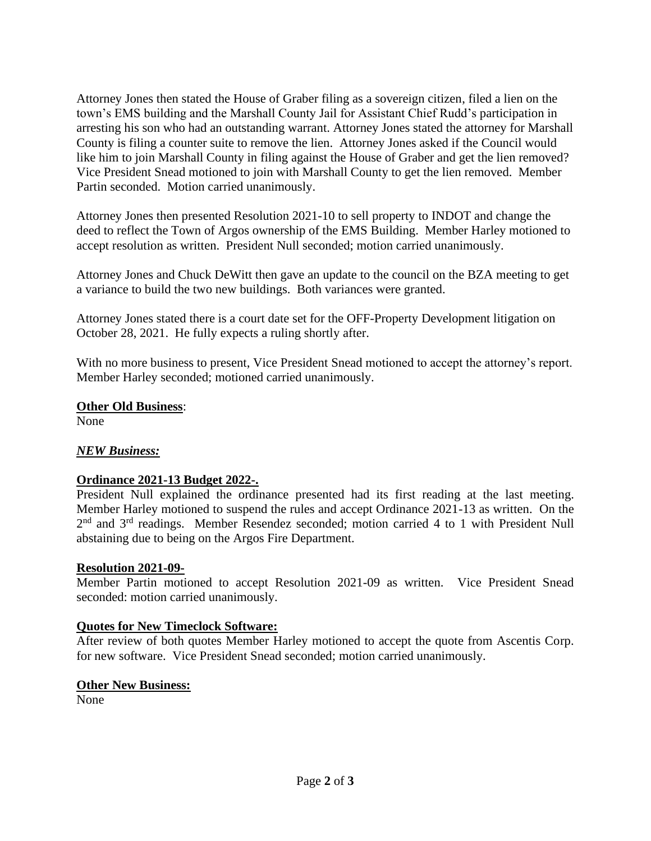Attorney Jones then stated the House of Graber filing as a sovereign citizen, filed a lien on the town's EMS building and the Marshall County Jail for Assistant Chief Rudd's participation in arresting his son who had an outstanding warrant. Attorney Jones stated the attorney for Marshall County is filing a counter suite to remove the lien. Attorney Jones asked if the Council would like him to join Marshall County in filing against the House of Graber and get the lien removed? Vice President Snead motioned to join with Marshall County to get the lien removed. Member Partin seconded. Motion carried unanimously.

Attorney Jones then presented Resolution 2021-10 to sell property to INDOT and change the deed to reflect the Town of Argos ownership of the EMS Building. Member Harley motioned to accept resolution as written. President Null seconded; motion carried unanimously.

Attorney Jones and Chuck DeWitt then gave an update to the council on the BZA meeting to get a variance to build the two new buildings. Both variances were granted.

Attorney Jones stated there is a court date set for the OFF-Property Development litigation on October 28, 2021. He fully expects a ruling shortly after.

With no more business to present, Vice President Snead motioned to accept the attorney's report. Member Harley seconded; motioned carried unanimously.

### **Other Old Business**:

None

# *NEW Business:*

### **Ordinance 2021-13 Budget 2022-.**

President Null explained the ordinance presented had its first reading at the last meeting. Member Harley motioned to suspend the rules and accept Ordinance 2021-13 as written. On the 2<sup>nd</sup> and 3<sup>rd</sup> readings. Member Resendez seconded; motion carried 4 to 1 with President Null abstaining due to being on the Argos Fire Department.

### **Resolution 2021-09-**

Member Partin motioned to accept Resolution 2021-09 as written. Vice President Snead seconded: motion carried unanimously.

### **Quotes for New Timeclock Software:**

After review of both quotes Member Harley motioned to accept the quote from Ascentis Corp. for new software. Vice President Snead seconded; motion carried unanimously.

### **Other New Business:**

None